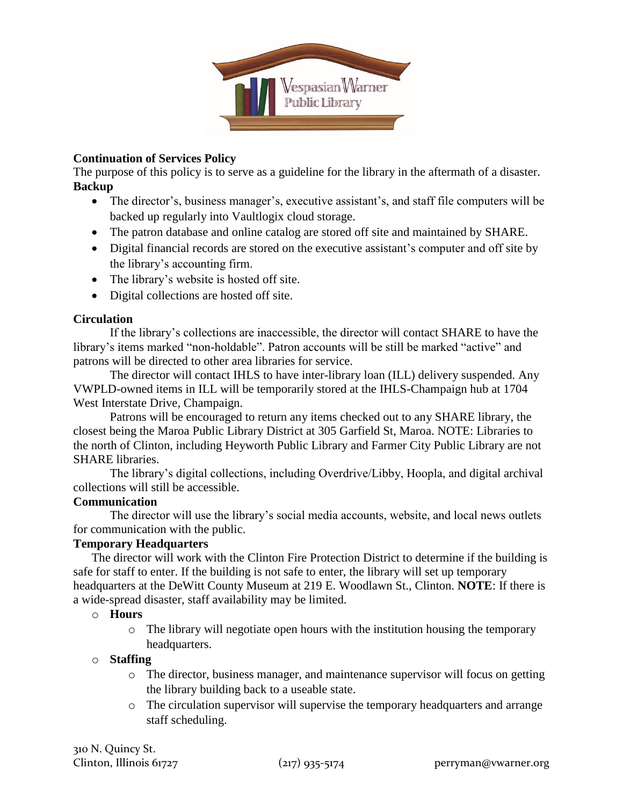

### **Continuation of Services Policy**

The purpose of this policy is to serve as a guideline for the library in the aftermath of a disaster. **Backup**

- The director's, business manager's, executive assistant's, and staff file computers will be backed up regularly into Vaultlogix cloud storage.
- The patron database and online catalog are stored off site and maintained by SHARE.
- Digital financial records are stored on the executive assistant's computer and off site by the library's accounting firm.
- The library's website is hosted off site.
- Digital collections are hosted off site.

# **Circulation**

If the library's collections are inaccessible, the director will contact SHARE to have the library's items marked "non-holdable". Patron accounts will be still be marked "active" and patrons will be directed to other area libraries for service.

The director will contact IHLS to have inter-library loan (ILL) delivery suspended. Any VWPLD-owned items in ILL will be temporarily stored at the IHLS-Champaign hub at 1704 West Interstate Drive, Champaign.

Patrons will be encouraged to return any items checked out to any SHARE library, the closest being the Maroa Public Library District at 305 Garfield St, Maroa. NOTE: Libraries to the north of Clinton, including Heyworth Public Library and Farmer City Public Library are not SHARE libraries.

The library's digital collections, including Overdrive/Libby, Hoopla, and digital archival collections will still be accessible.

# **Communication**

The director will use the library's social media accounts, website, and local news outlets for communication with the public.

# **Temporary Headquarters**

The director will work with the Clinton Fire Protection District to determine if the building is safe for staff to enter. If the building is not safe to enter, the library will set up temporary headquarters at the DeWitt County Museum at 219 E. Woodlawn St., Clinton. **NOTE**: If there is a wide-spread disaster, staff availability may be limited.

#### o **Hours**

 $\circ$  The library will negotiate open hours with the institution housing the temporary headquarters.

#### o **Staffing**

- o The director, business manager, and maintenance supervisor will focus on getting the library building back to a useable state.
- o The circulation supervisor will supervise the temporary headquarters and arrange staff scheduling.